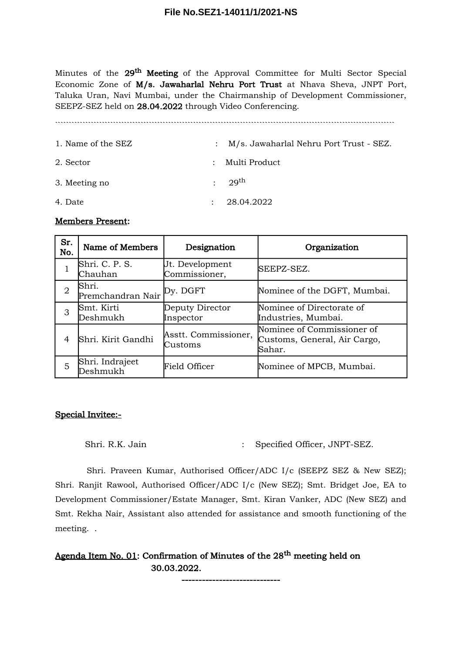Minutes of the 29<sup>th</sup> Meeting of the Approval Committee for Multi Sector Special Economic Zone of M/s. Jawaharlal Nehru Port Trust at Nhava Sheva, JNPT Port, Taluka Uran, Navi Mumbai, under the Chairmanship of Development Commissioner, SEEPZ-SEZ held on 28.04.2022 through Video Conferencing.

``````````````````````````````````````````````````````````````````````````````````````````````````````````````````````````` 1. Name of the SEZ : M/s. Jawaharlal Nehru Port Trust - SEZ. 2. Sector : Multi Product 3. Meeting no  $: 29^{th}$ 4. Date : 28.04.2022

### Members Present:

| Sr.<br>No.     | Name of Members                     | Designation                      | Organization                                                         |
|----------------|-------------------------------------|----------------------------------|----------------------------------------------------------------------|
|                | Shri. C. P. S.<br>Chauhan           | Ut. Development<br>Commissioner, | SEEPZ-SEZ.                                                           |
| $\overline{2}$ | Shri.<br>Premchandran Nair Py. DGFT |                                  | Nominee of the DGFT, Mumbai.                                         |
| 3              | Smt. Kirti<br>Deshmukh              | Deputy Director<br>Inspector     | Nominee of Directorate of<br>Industries, Mumbai.                     |
| 4              | Shri. Kirit Gandhi                  | Asstt. Commissioner,<br>Customs  | Nominee of Commissioner of<br>Customs, General, Air Cargo,<br>Sahar. |
| 5              | Shri. Indrajeet<br>${\rm Deshmukh}$ | <b>Field Officer</b>             | Nominee of MPCB, Mumbai.                                             |

# Special Invitee:-

Shri. R.K. Jain : Specified Officer, JNPT-SEZ.

Shri. Praveen Kumar, Authorised Officer/ADC I/c (SEEPZ SEZ & New SEZ); Shri. Ranjit Rawool, Authorised Officer/ADC I/c (New SEZ); Smt. Bridget Joe, EA to Development Commissioner/Estate Manager, Smt. Kiran Vanker, ADC (New SEZ) and Smt. Rekha Nair, Assistant also attended for assistance and smooth functioning of the meeting. .

Agenda Item No. 01: Confirmation of Minutes of the 28<sup>th</sup> meeting held on 30.03.2022.

-----------------------------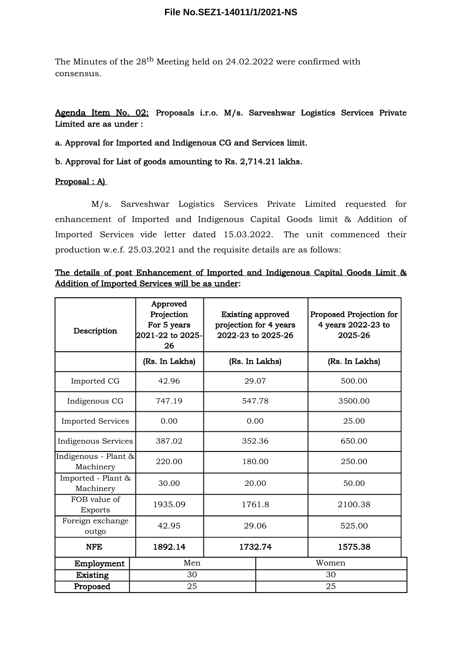The Minutes of the  $28^{th}$  Meeting held on 24.02.2022 were confirmed with consensus.

Agenda Item No. 02: Proposals i.r.o. M/s. Sarveshwar Logistics Services Private Limited are as under :

a. Approval for Imported and Indigenous CG and Services limit.

b. Approval for List of goods amounting to Rs. 2,714.21 lakhs.

### Proposal : A)

M/s. Sarveshwar Logistics Services Private Limited requested for enhancement of Imported and Indigenous Capital Goods limit & Addition of Imported Services vide letter dated 15.03.2022. The unit commenced their production w.e.f. 25.03.2021 and the requisite details are as follows:

|  |  | <u>The details of post Enhancement of Imported and Indigenous Capital Goods Limit &amp;</u> |  |  |  |  |
|--|--|---------------------------------------------------------------------------------------------|--|--|--|--|
|  |  | Addition of Imported Services will be as under:                                             |  |  |  |  |

| Description                       | Approved<br>Projection<br>For 5 years<br>2021-22 to 2025-<br>26 | <b>Existing approved</b><br>projection for 4 years<br>2022-23 to 2025-26 |       | Proposed Projection for<br>4 years 2022-23 to<br>2025-26 |  |  |
|-----------------------------------|-----------------------------------------------------------------|--------------------------------------------------------------------------|-------|----------------------------------------------------------|--|--|
|                                   | (Rs. In Lakhs)                                                  | (Rs. In Lakhs)                                                           |       | (Rs. In Lakhs)                                           |  |  |
| Imported CG                       | 42.96<br>29.07                                                  |                                                                          |       | 500.00                                                   |  |  |
| Indigenous CG                     | 747.19                                                          | 547.78                                                                   |       | 3500.00                                                  |  |  |
| <b>Imported Services</b>          | 0.00<br>0.00                                                    |                                                                          | 25.00 |                                                          |  |  |
| Indigenous Services               | 387.02                                                          | 352.36                                                                   |       | 650.00                                                   |  |  |
| Indigenous - Plant &<br>Machinery | 220.00                                                          | 180.00                                                                   |       | 250.00                                                   |  |  |
| Imported - Plant &<br>Machinery   | 30.00                                                           | 20.00                                                                    |       | 50.00                                                    |  |  |
| FOB value of<br>Exports           | 1935.09                                                         | 1761.8                                                                   |       | 2100.38                                                  |  |  |
| Foreign exchange<br>outgo         | 42.95                                                           | 29.06<br>1732.74                                                         |       | 525.00                                                   |  |  |
| <b>NFE</b>                        | 1892.14                                                         |                                                                          |       | 1575.38                                                  |  |  |
| Men<br>Employment                 |                                                                 |                                                                          |       | Women                                                    |  |  |
| Existing                          | 30                                                              |                                                                          | 30    |                                                          |  |  |
| Proposed                          | 25                                                              |                                                                          | 25    |                                                          |  |  |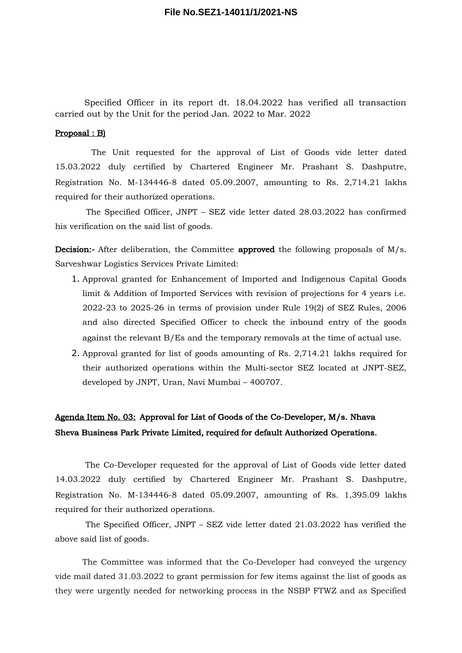Specified Officer in its report dt. 18.04.2022 has verified all transaction carried out by the Unit for the period Jan. 2022 to Mar. 2022

#### Proposal : B)

The Unit requested for the approval of List of Goods vide letter dated 15.03.2022 duly certified by Chartered Engineer Mr. Prashant S. Dashputre, Registration No. M-134446-8 dated 05.09.2007, amounting to Rs. 2,714.21 lakhs required for their authorized operations.

The Specified Officer, JNPT – SEZ vide letter dated 28.03.2022 has confirmed his verification on the said list of goods.

Decision:- After deliberation, the Committee approved the following proposals of M/s. Sarveshwar Logistics Services Private Limited:

- 1. Approval granted for Enhancement of Imported and Indigenous Capital Goods limit & Addition of Imported Services with revision of projections for 4 years i.e. 2022-23 to 2025-26 in terms of provision under Rule 19(2) of SEZ Rules, 2006 and also directed Specified Officer to check the inbound entry of the goods against the relevant B/Es and the temporary removals at the time of actual use.
- 2. Approval granted for list of goods amounting of Rs. 2,714.21 lakhs required for their authorized operations within the Multi-sector SEZ located at JNPT-SEZ, developed by JNPT, Uran, Navi Mumbai – 400707.

# Agenda Item No. 03: Approval for List of Goods of the Co-Developer, M/s. Nhava Sheva Business Park Private Limited, required for default Authorized Operations.

The Co-Developer requested for the approval of List of Goods vide letter dated 14.03.2022 duly certified by Chartered Engineer Mr. Prashant S. Dashputre, Registration No. M-134446-8 dated 05.09.2007, amounting of Rs. 1,395.09 lakhs required for their authorized operations.

The Specified Officer, JNPT – SEZ vide letter dated 21.03.2022 has verified the above said list of goods.

The Committee was informed that the Co-Developer had conveyed the urgency vide mail dated 31.03.2022 to grant permission for few items against the list of goods as they were urgently needed for networking process in the NSBP FTWZ and as Specified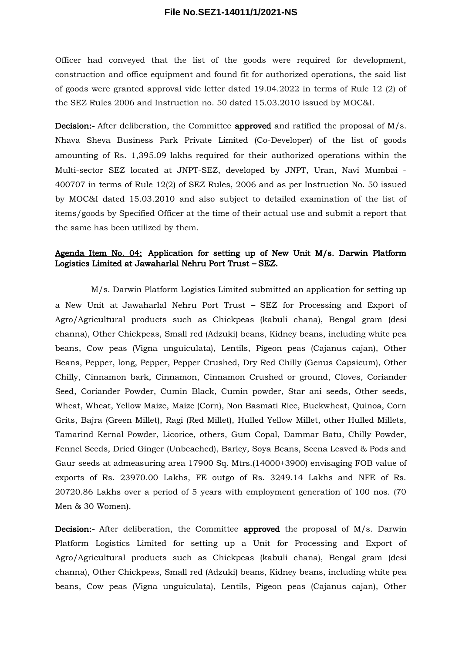Officer had conveyed that the list of the goods were required for development, construction and office equipment and found fit for authorized operations, the said list of goods were granted approval vide letter dated 19.04.2022 in terms of Rule 12 (2) of the SEZ Rules 2006 and Instruction no. 50 dated 15.03.2010 issued by MOC&I.

Decision:- After deliberation, the Committee approved and ratified the proposal of M/s. Nhava Sheva Business Park Private Limited (Co-Developer) of the list of goods amounting of Rs. 1,395.09 lakhs required for their authorized operations within the Multi-sector SEZ located at JNPT-SEZ, developed by JNPT, Uran, Navi Mumbai - 400707 in terms of Rule 12(2) of SEZ Rules, 2006 and as per Instruction No. 50 issued by MOC&I dated 15.03.2010 and also subject to detailed examination of the list of items/goods by Specified Officer at the time of their actual use and submit a report that the same has been utilized by them.

## Agenda Item No. 04: Application for setting up of New Unit M/s. Darwin Platform Logistics Limited at Jawaharlal Nehru Port Trust – SEZ.

M/s. Darwin Platform Logistics Limited submitted an application for setting up a New Unit at Jawaharlal Nehru Port Trust – SEZ for Processing and Export of Agro/Agricultural products such as Chickpeas (kabuli chana), Bengal gram (desi channa), Other Chickpeas, Small red (Adzuki) beans, Kidney beans, including white pea beans, Cow peas (Vigna unguiculata), Lentils, Pigeon peas (Cajanus cajan), Other Beans, Pepper, long, Pepper, Pepper Crushed, Dry Red Chilly (Genus Capsicum), Other Chilly, Cinnamon bark, Cinnamon, Cinnamon Crushed or ground, Cloves, Coriander Seed, Coriander Powder, Cumin Black, Cumin powder, Star ani seeds, Other seeds, Wheat, Wheat, Yellow Maize, Maize (Corn), Non Basmati Rice, Buckwheat, Quinoa, Corn Grits, Bajra (Green Millet), Ragi (Red Millet), Hulled Yellow Millet, other Hulled Millets, Tamarind Kernal Powder, Licorice, others, Gum Copal, Dammar Batu, Chilly Powder, Fennel Seeds, Dried Ginger (Unbeached), Barley, Soya Beans, Seena Leaved & Pods and Gaur seeds at admeasuring area 17900 Sq. Mtrs.(14000+3900) envisaging FOB value of exports of Rs. 23970.00 Lakhs, FE outgo of Rs. 3249.14 Lakhs and NFE of Rs. 20720.86 Lakhs over a period of 5 years with employment generation of 100 nos. (70 Men & 30 Women).

Decision:- After deliberation, the Committee approved the proposal of M/s. Darwin Platform Logistics Limited for setting up a Unit for Processing and Export of Agro/Agricultural products such as Chickpeas (kabuli chana), Bengal gram (desi channa), Other Chickpeas, Small red (Adzuki) beans, Kidney beans, including white pea beans, Cow peas (Vigna unguiculata), Lentils, Pigeon peas (Cajanus cajan), Other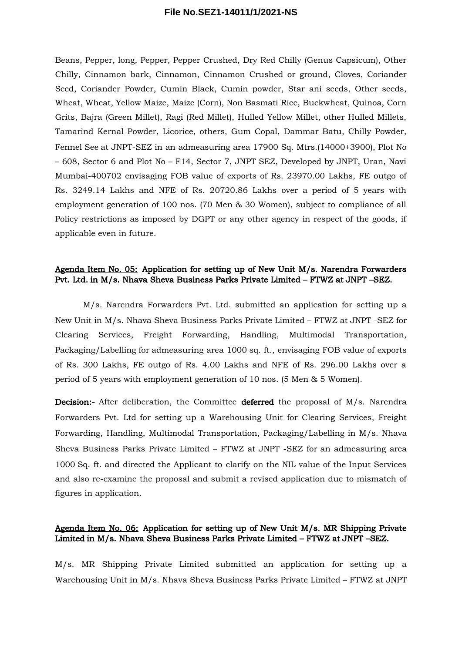Beans, Pepper, long, Pepper, Pepper Crushed, Dry Red Chilly (Genus Capsicum), Other Chilly, Cinnamon bark, Cinnamon, Cinnamon Crushed or ground, Cloves, Coriander Seed, Coriander Powder, Cumin Black, Cumin powder, Star ani seeds, Other seeds, Wheat, Wheat, Yellow Maize, Maize (Corn), Non Basmati Rice, Buckwheat, Quinoa, Corn Grits, Bajra (Green Millet), Ragi (Red Millet), Hulled Yellow Millet, other Hulled Millets, Tamarind Kernal Powder, Licorice, others, Gum Copal, Dammar Batu, Chilly Powder, Fennel See at JNPT-SEZ in an admeasuring area 17900 Sq. Mtrs.(14000+3900), Plot No – 608, Sector 6 and Plot No – F14, Sector 7, JNPT SEZ, Developed by JNPT, Uran, Navi Mumbai-400702 envisaging FOB value of exports of Rs. 23970.00 Lakhs, FE outgo of Rs. 3249.14 Lakhs and NFE of Rs. 20720.86 Lakhs over a period of 5 years with employment generation of 100 nos. (70 Men & 30 Women), subject to compliance of all Policy restrictions as imposed by DGPT or any other agency in respect of the goods, if applicable even in future.

# Agenda Item No. 05: Application for setting up of New Unit M/s. Narendra Forwarders Pvt. Ltd. in M/s. Nhava Sheva Business Parks Private Limited – FTWZ at JNPT –SEZ.

M/s. Narendra Forwarders Pvt. Ltd. submitted an application for setting up a New Unit in M/s. Nhava Sheva Business Parks Private Limited – FTWZ at JNPT -SEZ for Clearing Services, Freight Forwarding, Handling, Multimodal Transportation, Packaging/Labelling for admeasuring area 1000 sq. ft., envisaging FOB value of exports of Rs. 300 Lakhs, FE outgo of Rs. 4.00 Lakhs and NFE of Rs. 296.00 Lakhs over a period of 5 years with employment generation of 10 nos. (5 Men & 5 Women).

Decision:- After deliberation, the Committee deferred the proposal of M/s. Narendra Forwarders Pvt. Ltd for setting up a Warehousing Unit for Clearing Services, Freight Forwarding, Handling, Multimodal Transportation, Packaging/Labelling in M/s. Nhava Sheva Business Parks Private Limited – FTWZ at JNPT -SEZ for an admeasuring area 1000 Sq. ft. and directed the Applicant to clarify on the NIL value of the Input Services and also re-examine the proposal and submit a revised application due to mismatch of figures in application.

## Agenda Item No. 06: Application for setting up of New Unit M/s. MR Shipping Private Limited in M/s. Nhava Sheva Business Parks Private Limited – FTWZ at JNPT –SEZ.

M/s. MR Shipping Private Limited submitted an application for setting up a Warehousing Unit in M/s. Nhava Sheva Business Parks Private Limited – FTWZ at JNPT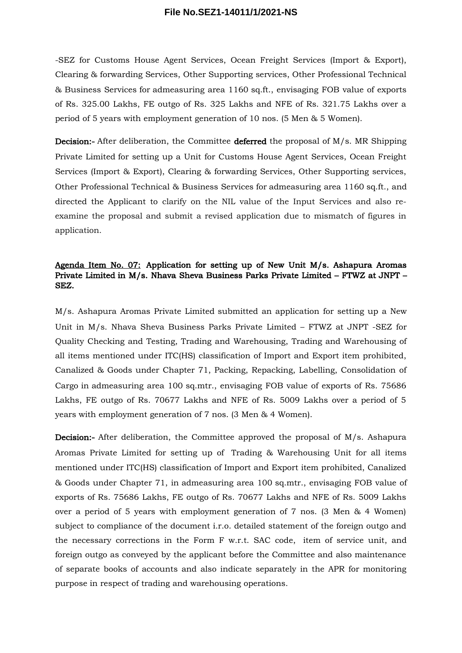-SEZ for Customs House Agent Services, Ocean Freight Services (Import & Export), Clearing & forwarding Services, Other Supporting services, Other Professional Technical & Business Services for admeasuring area 1160 sq.ft., envisaging FOB value of exports of Rs. 325.00 Lakhs, FE outgo of Rs. 325 Lakhs and NFE of Rs. 321.75 Lakhs over a period of 5 years with employment generation of 10 nos. (5 Men & 5 Women).

**Decision:**- After deliberation, the Committee **deferred** the proposal of  $M/s$ . MR Shipping Private Limited for setting up a Unit for Customs House Agent Services, Ocean Freight Services (Import & Export), Clearing & forwarding Services, Other Supporting services, Other Professional Technical & Business Services for admeasuring area 1160 sq.ft., and directed the Applicant to clarify on the NIL value of the Input Services and also reexamine the proposal and submit a revised application due to mismatch of figures in application.

# Agenda Item No. 07: Application for setting up of New Unit M/s. Ashapura Aromas Private Limited in M/s. Nhava Sheva Business Parks Private Limited – FTWZ at JNPT – SEZ.

M/s. Ashapura Aromas Private Limited submitted an application for setting up a New Unit in M/s. Nhava Sheva Business Parks Private Limited – FTWZ at JNPT -SEZ for Quality Checking and Testing, Trading and Warehousing, Trading and Warehousing of all items mentioned under ITC(HS) classification of Import and Export item prohibited, Canalized & Goods under Chapter 71, Packing, Repacking, Labelling, Consolidation of Cargo in admeasuring area 100 sq.mtr., envisaging FOB value of exports of Rs. 75686 Lakhs, FE outgo of Rs. 70677 Lakhs and NFE of Rs. 5009 Lakhs over a period of 5 years with employment generation of 7 nos. (3 Men & 4 Women).

Decision:- After deliberation, the Committee approved the proposal of M/s. Ashapura Aromas Private Limited for setting up of Trading & Warehousing Unit for all items mentioned under ITC(HS) classification of Import and Export item prohibited, Canalized & Goods under Chapter 71, in admeasuring area 100 sq.mtr., envisaging FOB value of exports of Rs. 75686 Lakhs, FE outgo of Rs. 70677 Lakhs and NFE of Rs. 5009 Lakhs over a period of 5 years with employment generation of 7 nos. (3 Men & 4 Women) subject to compliance of the document i.r.o. detailed statement of the foreign outgo and the necessary corrections in the Form F w.r.t. SAC code, item of service unit, and foreign outgo as conveyed by the applicant before the Committee and also maintenance of separate books of accounts and also indicate separately in the APR for monitoring purpose in respect of trading and warehousing operations.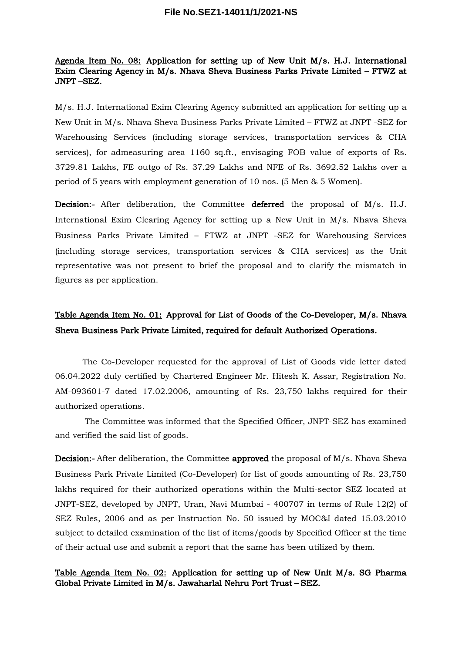# Agenda Item No. 08: Application for setting up of New Unit M/s. H.J. International Exim Clearing Agency in M/s. Nhava Sheva Business Parks Private Limited – FTWZ at JNPT –SEZ.

M/s. H.J. International Exim Clearing Agency submitted an application for setting up a New Unit in M/s. Nhava Sheva Business Parks Private Limited – FTWZ at JNPT -SEZ for Warehousing Services (including storage services, transportation services & CHA services), for admeasuring area 1160 sq.ft., envisaging FOB value of exports of Rs. 3729.81 Lakhs, FE outgo of Rs. 37.29 Lakhs and NFE of Rs. 3692.52 Lakhs over a period of 5 years with employment generation of 10 nos. (5 Men & 5 Women).

Decision:- After deliberation, the Committee deferred the proposal of M/s. H.J. International Exim Clearing Agency for setting up a New Unit in M/s. Nhava Sheva Business Parks Private Limited – FTWZ at JNPT -SEZ for Warehousing Services (including storage services, transportation services & CHA services) as the Unit representative was not present to brief the proposal and to clarify the mismatch in figures as per application.

# Table Agenda Item No. 01: Approval for List of Goods of the Co-Developer, M/s. Nhava Sheva Business Park Private Limited, required for default Authorized Operations.

The Co-Developer requested for the approval of List of Goods vide letter dated 06.04.2022 duly certified by Chartered Engineer Mr. Hitesh K. Assar, Registration No. AM-093601-7 dated 17.02.2006, amounting of Rs. 23,750 lakhs required for their authorized operations.

The Committee was informed that the Specified Officer, JNPT-SEZ has examined and verified the said list of goods.

**Decision:**- After deliberation, the Committee **approved** the proposal of  $M/s$ . Nhava Sheva Business Park Private Limited (Co-Developer) for list of goods amounting of Rs. 23,750 lakhs required for their authorized operations within the Multi-sector SEZ located at JNPT-SEZ, developed by JNPT, Uran, Navi Mumbai - 400707 in terms of Rule 12(2) of SEZ Rules, 2006 and as per Instruction No. 50 issued by MOC&I dated 15.03.2010 subject to detailed examination of the list of items/goods by Specified Officer at the time of their actual use and submit a report that the same has been utilized by them.

## Table Agenda Item No. 02: Application for setting up of New Unit M/s. SG Pharma Global Private Limited in M/s. Jawaharlal Nehru Port Trust – SEZ.